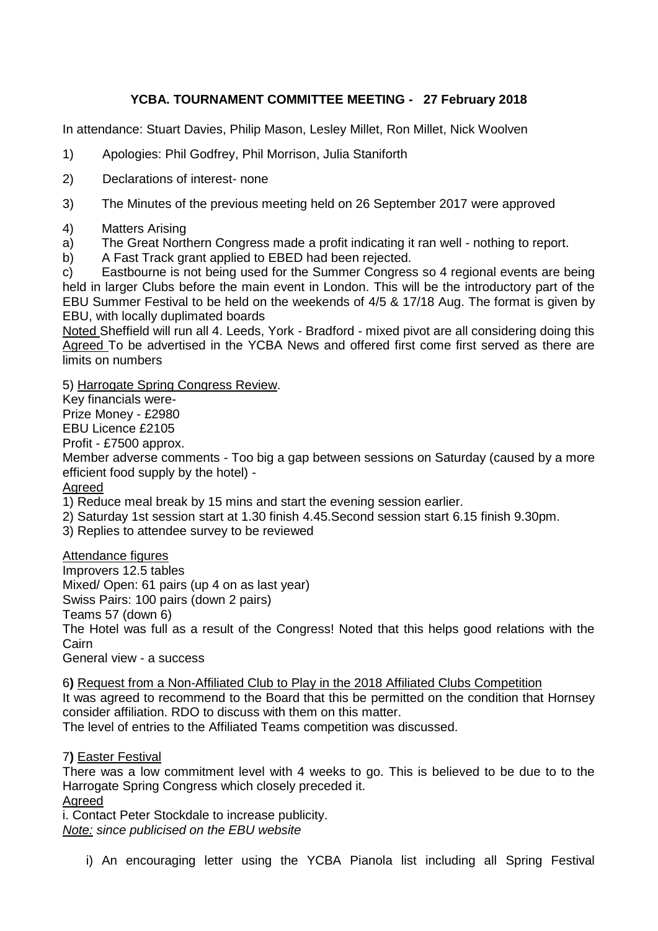## **YCBA. TOURNAMENT COMMITTEE MEETING - 27 February 2018**

In attendance: Stuart Davies, Philip Mason, Lesley Millet, Ron Millet, Nick Woolven

- 1) Apologies: Phil Godfrey, Phil Morrison, Julia Staniforth
- 2) Declarations of interest- none
- 3) The Minutes of the previous meeting held on 26 September 2017 were approved
- 4) Matters Arising
- a) The Great Northern Congress made a profit indicating it ran well nothing to report.
- b) A Fast Track grant applied to EBED had been rejected.

c) Eastbourne is not being used for the Summer Congress so 4 regional events are being held in larger Clubs before the main event in London. This will be the introductory part of the EBU Summer Festival to be held on the weekends of 4/5 & 17/18 Aug. The format is given by EBU, with locally duplimated boards

Noted Sheffield will run all 4. Leeds, York - Bradford - mixed pivot are all considering doing this Agreed To be advertised in the YCBA News and offered first come first served as there are limits on numbers

5) Harrogate Spring Congress Review.

Key financials were-

Prize Money - £2980

EBU Licence £2105

Profit - £7500 approx.

Member adverse comments - Too big a gap between sessions on Saturday (caused by a more efficient food supply by the hotel) -

#### Agreed

1) Reduce meal break by 15 mins and start the evening session earlier.

- 2) Saturday 1st session start at 1.30 finish 4.45.Second session start 6.15 finish 9.30pm.
- 3) Replies to attendee survey to be reviewed

Attendance figures

Improvers 12.5 tables

Mixed/ Open: 61 pairs (up 4 on as last year)

Swiss Pairs: 100 pairs (down 2 pairs)

Teams 57 (down 6)

The Hotel was full as a result of the Congress! Noted that this helps good relations with the Cairn

General view - a success

6**)** Request from a Non-Affiliated Club to Play in the 2018 Affiliated Clubs Competition It was agreed to recommend to the Board that this be permitted on the condition that Hornsey consider affiliation. RDO to discuss with them on this matter.

The level of entries to the Affiliated Teams competition was discussed.

7**)** Easter Festival

There was a low commitment level with 4 weeks to go. This is believed to be due to to the Harrogate Spring Congress which closely preceded it.

Agreed

i. Contact Peter Stockdale to increase publicity. *Note: since publicised on the EBU website*

i) An encouraging letter using the YCBA Pianola list including all Spring Festival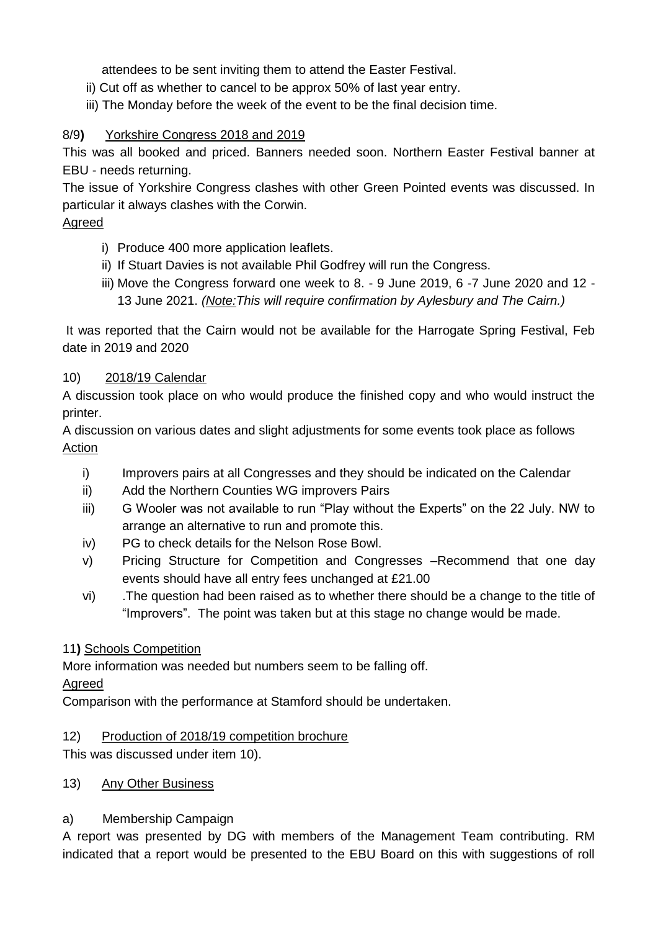attendees to be sent inviting them to attend the Easter Festival.

- ii) Cut off as whether to cancel to be approx 50% of last year entry.
- iii) The Monday before the week of the event to be the final decision time.

## 8/9**)** Yorkshire Congress 2018 and 2019

This was all booked and priced. Banners needed soon. Northern Easter Festival banner at EBU - needs returning.

The issue of Yorkshire Congress clashes with other Green Pointed events was discussed. In particular it always clashes with the Corwin.

### Agreed

- i) Produce 400 more application leaflets.
- ii) If Stuart Davies is not available Phil Godfrey will run the Congress.
- iii) Move the Congress forward one week to 8. 9 June 2019, 6 -7 June 2020 and 12 13 June 2021. *(Note:This will require confirmation by Aylesbury and The Cairn.)*

It was reported that the Cairn would not be available for the Harrogate Spring Festival, Feb date in 2019 and 2020

#### 10) 2018/19 Calendar

A discussion took place on who would produce the finished copy and who would instruct the printer.

A discussion on various dates and slight adjustments for some events took place as follows Action

- i) Improvers pairs at all Congresses and they should be indicated on the Calendar
- ii) Add the Northern Counties WG improvers Pairs
- iii) G Wooler was not available to run "Play without the Experts" on the 22 July. NW to arrange an alternative to run and promote this.
- iv) PG to check details for the Nelson Rose Bowl.
- v) Pricing Structure for Competition and Congresses –Recommend that one day events should have all entry fees unchanged at £21.00
- vi) .The question had been raised as to whether there should be a change to the title of "Improvers". The point was taken but at this stage no change would be made.

#### 11**)** Schools Competition

More information was needed but numbers seem to be falling off.

#### Agreed

Comparison with the performance at Stamford should be undertaken.

#### 12) Production of 2018/19 competition brochure

This was discussed under item 10).

13) Any Other Business

# a) Membership Campaign

A report was presented by DG with members of the Management Team contributing. RM indicated that a report would be presented to the EBU Board on this with suggestions of roll